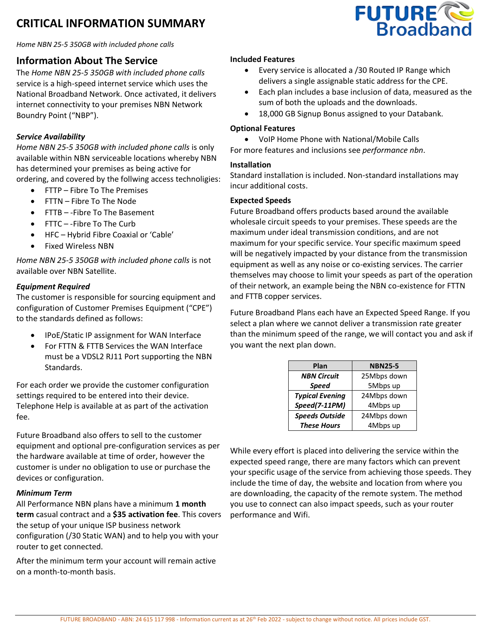# **CRITICAL INFORMATION SUMMARY**



*Home NBN 25-5 350GB with included phone calls*

## **Information About The Service**

The *Home NBN 25-5 350GB with included phone calls*  service is a high-speed internet service which uses the National Broadband Network. Once activated, it delivers internet connectivity to your premises NBN Network Boundry Point ("NBP").

### *Service Availability*

*Home NBN 25-5 350GB with included phone calls* is only available within NBN serviceable locations whereby NBN has determined your premises as being active for ordering, and covered by the follwing access technoligies:

- FTTP Fibre To The Premises
- FTTN Fibre To The Node
- FTTB -Fibre To The Basement
- FTTC -Fibre To The Curb
- HFC Hybrid Fibre Coaxial or 'Cable'
- Fixed Wireless NBN

*Home NBN 25-5 350GB with included phone calls* is not available over NBN Satellite.

#### *Equipment Required*

The customer is responsible for sourcing equipment and configuration of Customer Premises Equipment ("CPE") to the standards defined as follows:

- IPoE/Static IP assignment for WAN Interface
- For FTTN & FTTB Services the WAN Interface must be a VDSL2 RJ11 Port supporting the NBN Standards.

For each order we provide the customer configuration settings required to be entered into their device. Telephone Help is available at as part of the activation fee.

Future Broadband also offers to sell to the customer equipment and optional pre-configuration services as per the hardware available at time of order, however the customer is under no obligation to use or purchase the devices or configuration.

#### *Minimum Term*

All Performance NBN plans have a minimum **1 month term** casual contract and a **\$35 activation fee**. This covers the setup of your unique ISP business network configuration (/30 Static WAN) and to help you with your router to get connected.

After the minimum term your account will remain active on a month-to-month basis.

#### **Included Features**

- Every service is allocated a /30 Routed IP Range which delivers a single assignable static address for the CPE.
- Each plan includes a base inclusion of data, measured as the sum of both the uploads and the downloads.
- 18,000 GB Signup Bonus assigned to your Databank.

#### **Optional Features**

• VoIP Home Phone with National/Mobile Calls

For more features and inclusions see *performance nbn*.

#### **Installation**

Standard installation is included. Non-standard installations may incur additional costs.

#### **Expected Speeds**

Future Broadband offers products based around the available wholesale circuit speeds to your premises. These speeds are the maximum under ideal transmission conditions, and are not maximum for your specific service. Your specific maximum speed will be negatively impacted by your distance from the transmission equipment as well as any noise or co-existing services. The carrier themselves may choose to limit your speeds as part of the operation of their network, an example being the NBN co-existence for FTTN and FTTB copper services.

Future Broadband Plans each have an Expected Speed Range. If you select a plan where we cannot deliver a transmission rate greater than the minimum speed of the range, we will contact you and ask if you want the next plan down.

| Plan                   | <b>NBN25-5</b> |
|------------------------|----------------|
| <b>NBN Circuit</b>     | 25Mbps down    |
| <b>Speed</b>           | 5Mbps up       |
| <b>Typical Evening</b> | 24Mbps down    |
| Speed(7-11PM)          | 4Mbps up       |
| <b>Speeds Outside</b>  | 24Mbps down    |
| <b>These Hours</b>     | 4Mbps up       |

While every effort is placed into delivering the service within the expected speed range, there are many factors which can prevent your specific usage of the service from achieving those speeds. They include the time of day, the website and location from where you are downloading, the capacity of the remote system. The method you use to connect can also impact speeds, such as your router performance and Wifi.